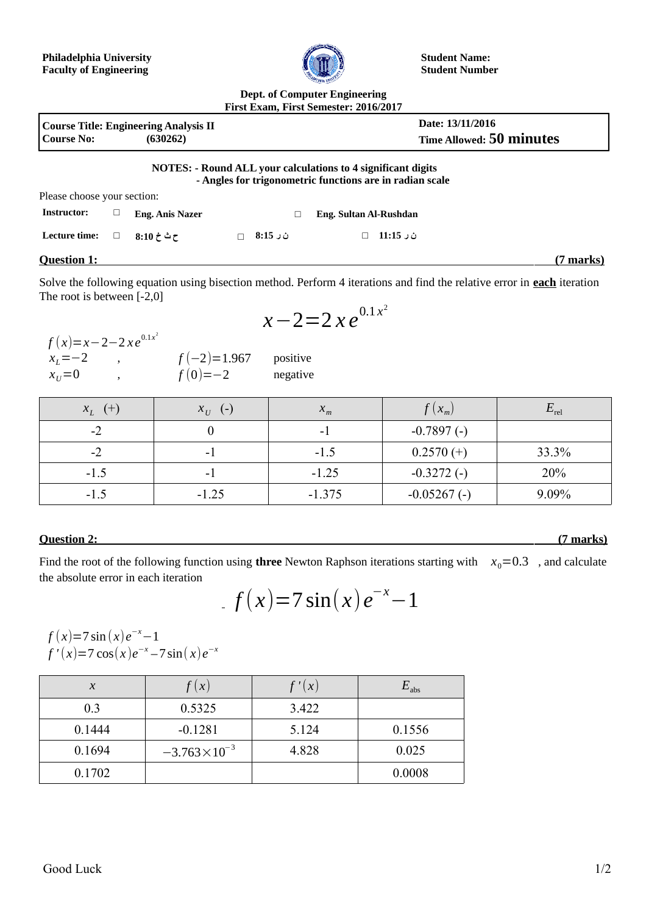

**Student Name: Student Number**

## **Dept. of Computer Engineering First Exam, First Semester: 2016/2017**

| <b>Course No:</b>           |   | <b>Course Title: Engineering Analysis II</b><br>(630262) |          |                                                                                                                                 | Date: 13/11/2016<br><b>Time Allowed: 50 minutes</b> |
|-----------------------------|---|----------------------------------------------------------|----------|---------------------------------------------------------------------------------------------------------------------------------|-----------------------------------------------------|
|                             |   |                                                          |          | <b>NOTES: - Round ALL your calculations to 4 significant digits</b><br>- Angles for trigonometric functions are in radian scale |                                                     |
| Please choose your section: |   |                                                          |          |                                                                                                                                 |                                                     |
| <b>Instructor:</b>          | ⊔ | <b>Eng. Anis Nazer</b>                                   |          | Eng. Sultan Al-Rushdan                                                                                                          |                                                     |
| Lecture time:               | □ | $8:10 \div 27$                                           | $8:15$ ث | ن ر 11:15                                                                                                                       |                                                     |
| <b>Question 1:</b>          |   |                                                          |          |                                                                                                                                 | (7 marks)                                           |

Solve the following equation using bisection method. Perform 4 iterations and find the relative error in **each** iteration The root is between [-2,0]

$$
x-2=2\,x\,e^{0.1x^2}
$$

| $f(x)=x-2-2xe^{0.1x^2}$ |               |          |
|-------------------------|---------------|----------|
| $x_1 = -2$              | $f(-2)=1.967$ | positive |
| $x_{ii} = 0$            | $f(0) = -2$   | negative |

 $x_L$  (+)  $x_U$ 

| $0.1\lambda$<br>е<br>$\angle X$<br>л |  |
|--------------------------------------|--|
|--------------------------------------|--|

(-)  $X_m$   $f(X_m)$   $E_{rel}$ 

## $-2$   $-1$   $-1.5$   $0.2570 (+)$   $33.3\%$  $-1.5$   $-1$   $-1$   $-1.25$   $-0.3272$  (-)  $20\%$  $-1.5$   $-1.25$   $-1.375$   $-0.05267$  (-) 9.09%

 $-2$  0 0  $-1$   $-0.7897$  (-)

## **Question 2: (7 marks)**

Find the root of the following function using **three** Newton Raphson iterations starting with  $x_0 = 0.3$ , and calculate the absolute error in each iteration

$$
f(x)=7\sin(x)e^{-x}-1
$$

$$
f(x)=7\sin(x)e^{-x}-1
$$
  
f'(x)=7 cos(x)e<sup>-x</sup>-7 sin(x)e<sup>-x</sup>

| $\boldsymbol{\chi}$ | $\cdot$ ( $\chi$      | '(x)  | $E_{\rm abs}$ |
|---------------------|-----------------------|-------|---------------|
| 0.3                 | 0.5325                | 3.422 |               |
| 0.1444              | $-0.1281$             | 5.124 | 0.1556        |
| 0.1694              | $-3.763\times10^{-3}$ | 4.828 | 0.025         |
| 0.1702              |                       |       | 0.0008        |